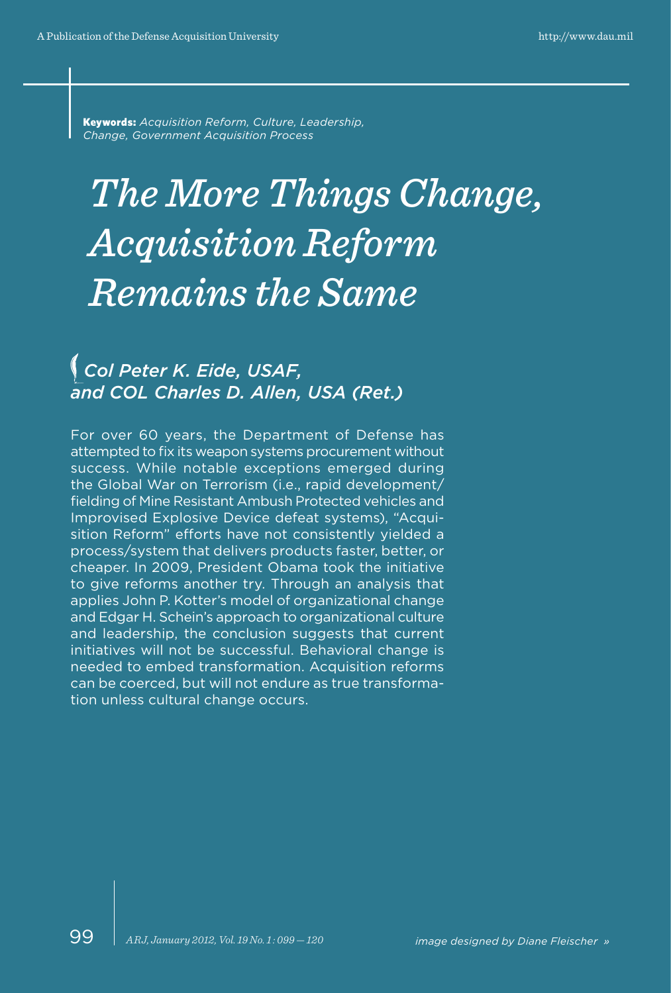Keywords: *Acquisition Reform, Culture, Leadership, Change, Government Acquisition Process*

# *The More Things Change, Acquisition Reform Remains the Same*

# *Col Peter K. Eide, USAF, and COL Charles D. Allen, USA (Ret.)*

For over 60 years, the Department of Defense has attempted to fix its weapon systems procurement without success. While notable exceptions emerged during the Global War on Terrorism (i.e., rapid development/ fielding of Mine Resistant Ambush Protected vehicles and Improvised Explosive Device defeat systems), "Acquisition Reform" efforts have not consistently yielded a process/system that delivers products faster, better, or cheaper. In 2009, President Obama took the initiative to give reforms another try. Through an analysis that applies John P. Kotter's model of organizational change and Edgar H. Schein's approach to organizational culture and leadership, the conclusion suggests that current initiatives will not be successful. Behavioral change is needed to embed transformation. Acquisition reforms can be coerced, but will not endure as true transformation unless cultural change occurs.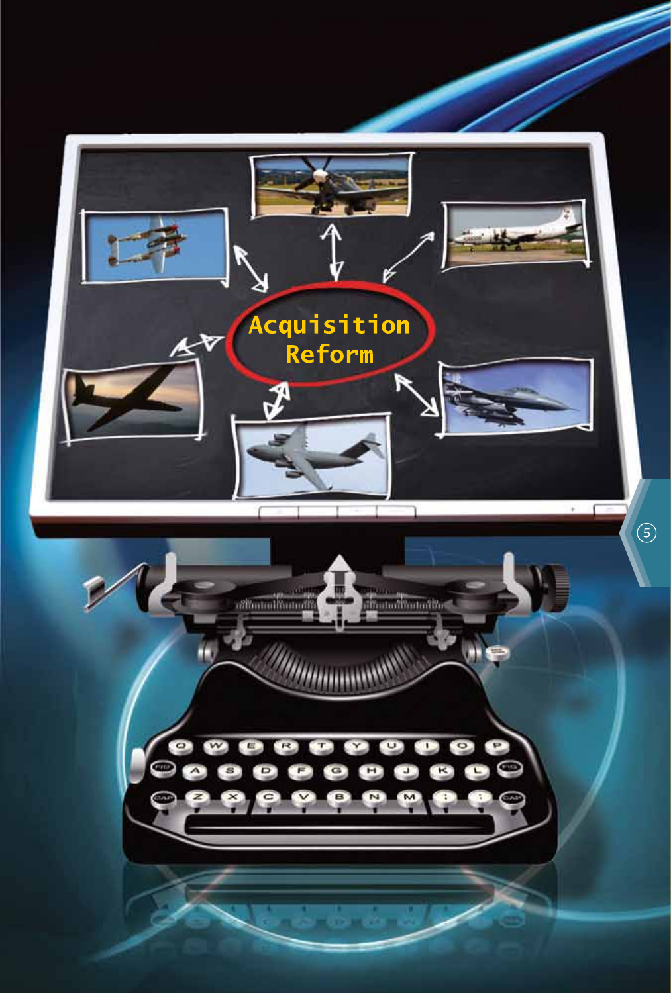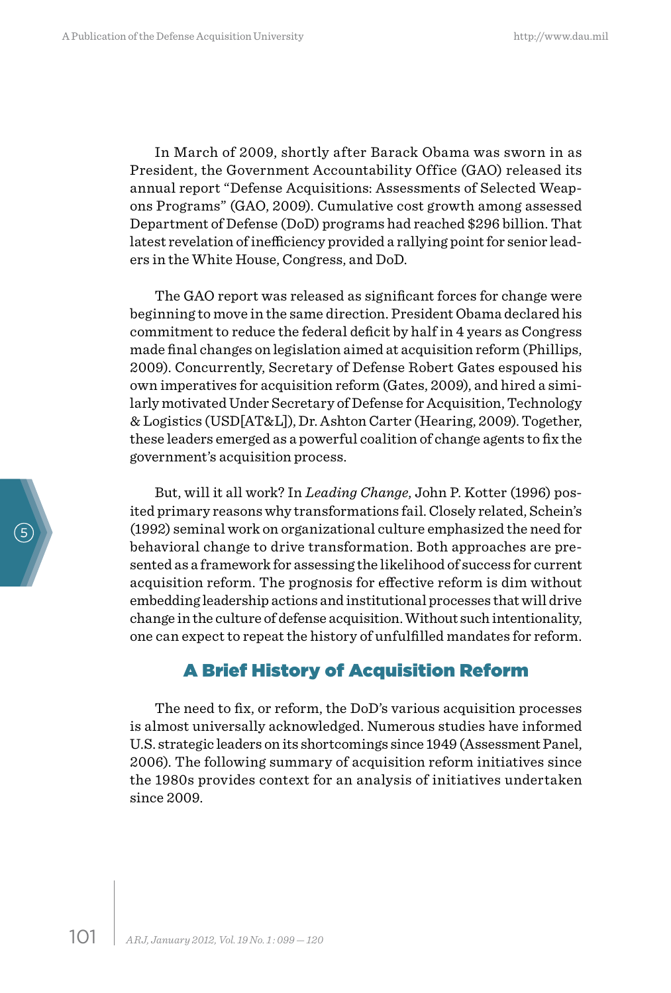In March of 2009, shortly after Barack Obama was sworn in as President, the Government Accountability Office (GAO) released its annual report "Defense Acquisitions: Assessments of Selected Weapons Programs" (GAO, 2009). Cumulative cost growth among assessed Department of Defense (DoD) programs had reached \$296 billion. That latest revelation of inefficiency provided a rallying point for senior leaders in the White House, Congress, and DoD.

The GAO report was released as significant forces for change were beginning to move in the same direction. President Obama declared his commitment to reduce the federal deficit by half in 4 years as Congress made final changes on legislation aimed at acquisition reform (Phillips, 2009). Concurrently, Secretary of Defense Robert Gates espoused his own imperatives for acquisition reform (Gates, 2009), and hired a similarly motivated Under Secretary of Defense for Acquisition, Technology & Logistics (USD[AT&L]), Dr. Ashton Carter (Hearing, 2009). Together, these leaders emerged as a powerful coalition of change agents to fix the government's acquisition process.

But, will it all work? In *Leading Change*, John P. Kotter (1996) posited primary reasons why transformations fail. Closely related, Schein's (1992) seminal work on organizational culture emphasized the need for behavioral change to drive transformation. Both approaches are presented as a framework for assessing the likelihood of success for current acquisition reform. The prognosis for effective reform is dim without embedding leadership actions and institutional processes that will drive change in the culture of defense acquisition. Without such intentionality, one can expect to repeat the history of unfulfilled mandates for reform.

# A Brief History of Acquisition Reform

The need to fix, or reform, the DoD's various acquisition processes is almost universally acknowledged. Numerous studies have informed U.S. strategic leaders on its shortcomings since 1949 (Assessment Panel, 2006). The following summary of acquisition reform initiatives since the 1980s provides context for an analysis of initiatives undertaken since 2009.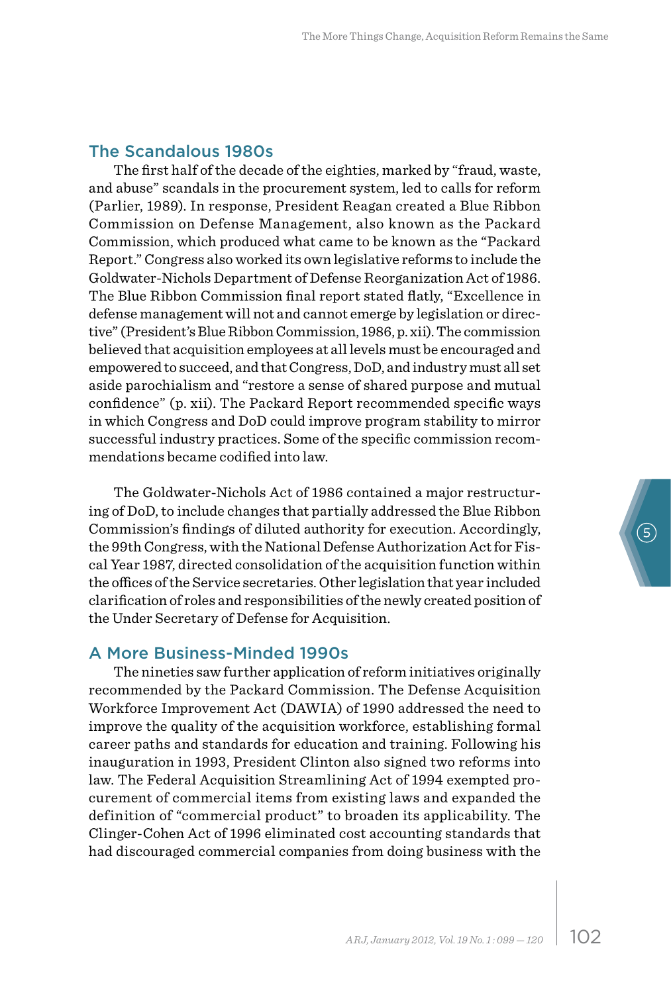#### The Scandalous 1980s

The first half of the decade of the eighties, marked by "fraud, waste, and abuse" scandals in the procurement system, led to calls for reform (Parlier, 1989). In response, President Reagan created a Blue Ribbon Commission on Defense Management, also known as the Packard Commission, which produced what came to be known as the "Packard Report." Congress also worked its own legislative reforms to include the Goldwater-Nichols Department of Defense Reorganization Act of 1986. The Blue Ribbon Commission final report stated flatly, "Excellence in defense management will not and cannot emerge by legislation or directive" (President's Blue Ribbon Commission, 1986, p. xii). The commission believed that acquisition employees at all levels must be encouraged and empowered to succeed, and that Congress, DoD, and industry must all set aside parochialism and "restore a sense of shared purpose and mutual confidence" (p. xii). The Packard Report recommended specific ways in which Congress and DoD could improve program stability to mirror successful industry practices. Some of the specific commission recommendations became codified into law.

The Goldwater-Nichols Act of 1986 contained a major restructuring of DoD, to include changes that partially addressed the Blue Ribbon Commission's findings of diluted authority for execution. Accordingly, the 99th Congress, with the National Defense Authorization Act for Fiscal Year 1987, directed consolidation of the acquisition function within the offices of the Service secretaries. Other legislation that year included clarification of roles and responsibilities of the newly created position of the Under Secretary of Defense for Acquisition.

#### A More Business-Minded 1990s

The nineties saw further application of reform initiatives originally recommended by the Packard Commission. The Defense Acquisition Workforce Improvement Act (DAWIA) of 1990 addressed the need to improve the quality of the acquisition workforce, establishing formal career paths and standards for education and training. Following his inauguration in 1993, President Clinton also signed two reforms into law. The Federal Acquisition Streamlining Act of 1994 exempted procurement of commercial items from existing laws and expanded the definition of "commercial product" to broaden its applicability. The Clinger-Cohen Act of 1996 eliminated cost accounting standards that had discouraged commercial companies from doing business with the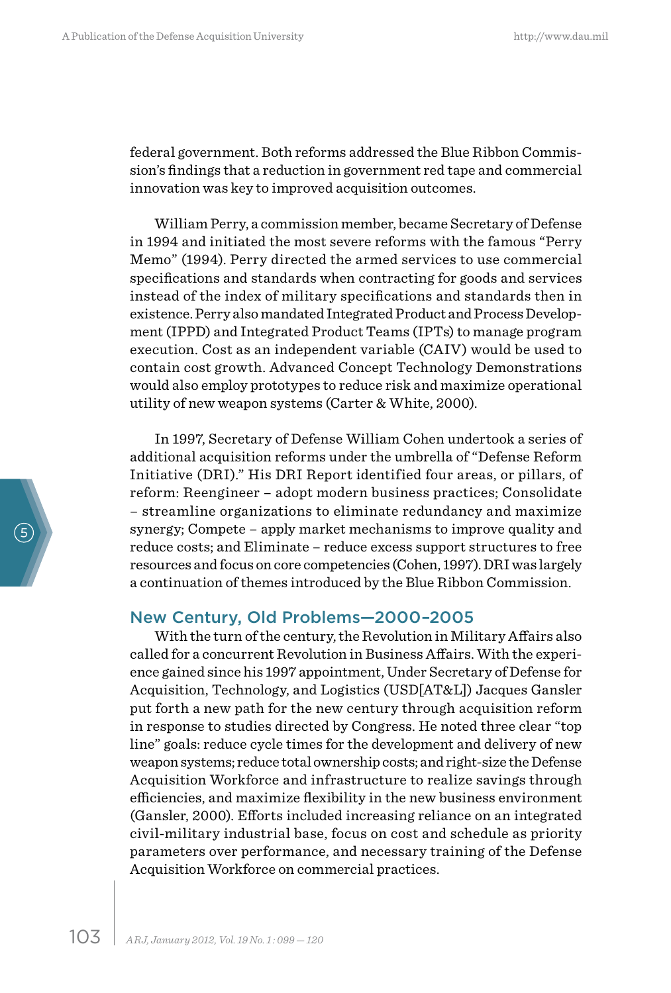federal government. Both reforms addressed the Blue Ribbon Commission's findings that a reduction in government red tape and commercial innovation was key to improved acquisition outcomes.

William Perry, a commission member, became Secretary of Defense in 1994 and initiated the most severe reforms with the famous "Perry Memo" (1994). Perry directed the armed services to use commercial specifications and standards when contracting for goods and services instead of the index of military specifications and standards then in existence. Perry also mandated Integrated Product and Process Development (IPPD) and Integrated Product Teams (IPTs) to manage program execution. Cost as an independent variable (CAIV) would be used to contain cost growth. Advanced Concept Technology Demonstrations would also employ prototypes to reduce risk and maximize operational utility of new weapon systems (Carter & White, 2000).

In 1997, Secretary of Defense William Cohen undertook a series of additional acquisition reforms under the umbrella of "Defense Reform Initiative (DRI)." His DRI Report identified four areas, or pillars, of reform: Reengineer – adopt modern business practices; Consolidate – streamline organizations to eliminate redundancy and maximize synergy; Compete – apply market mechanisms to improve quality and reduce costs; and Eliminate – reduce excess support structures to free resources and focus on core competencies (Cohen, 1997). DRI was largely a continuation of themes introduced by the Blue Ribbon Commission.

#### New Century, Old Problems—2000–2005

With the turn of the century, the Revolution in Military Affairs also called for a concurrent Revolution in Business Affairs. With the experience gained since his 1997 appointment, Under Secretary of Defense for Acquisition, Technology, and Logistics (USD[AT&L]) Jacques Gansler put forth a new path for the new century through acquisition reform in response to studies directed by Congress. He noted three clear "top line" goals: reduce cycle times for the development and delivery of new weapon systems; reduce total ownership costs; and right-size the Defense Acquisition Workforce and infrastructure to realize savings through efficiencies, and maximize flexibility in the new business environment (Gansler, 2000). Efforts included increasing reliance on an integrated civil-military industrial base, focus on cost and schedule as priority parameters over performance, and necessary training of the Defense Acquisition Workforce on commercial practices.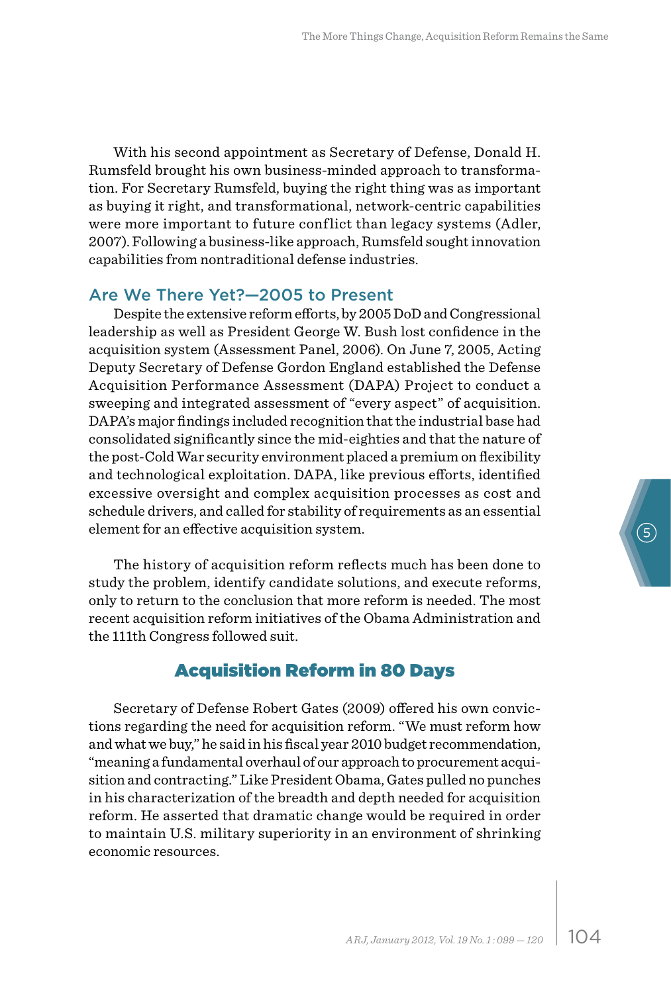With his second appointment as Secretary of Defense, Donald H. Rumsfeld brought his own business-minded approach to transformation. For Secretary Rumsfeld, buying the right thing was as important as buying it right, and transformational, network-centric capabilities were more important to future conflict than legacy systems (Adler, 2007). Following a business-like approach, Rumsfeld sought innovation capabilities from nontraditional defense industries.

#### Are We There Yet?—2005 to Present

Despite the extensive reform efforts, by 2005 DoD and Congressional leadership as well as President George W. Bush lost confidence in the acquisition system (Assessment Panel, 2006). On June 7, 2005, Acting Deputy Secretary of Defense Gordon England established the Defense Acquisition Performance Assessment (DAPA) Project to conduct a sweeping and integrated assessment of "every aspect" of acquisition. DAPA's major findings included recognition that the industrial base had consolidated significantly since the mid-eighties and that the nature of the post-Cold War security environment placed a premium on flexibility and technological exploitation. DAPA, like previous efforts, identified excessive oversight and complex acquisition processes as cost and schedule drivers, and called for stability of requirements as an essential element for an effective acquisition system.

The history of acquisition reform reflects much has been done to study the problem, identify candidate solutions, and execute reforms, only to return to the conclusion that more reform is needed. The most recent acquisition reform initiatives of the Obama Administration and the 111th Congress followed suit.

# Acquisition Reform in 80 Days

Secretary of Defense Robert Gates (2009) offered his own convictions regarding the need for acquisition reform. "We must reform how and what we buy," he said in his fiscal year 2010 budget recommendation, "meaning a fundamental overhaul of our approach to procurement acquisition and contracting." Like President Obama, Gates pulled no punches in his characterization of the breadth and depth needed for acquisition reform. He asserted that dramatic change would be required in order to maintain U.S. military superiority in an environment of shrinking economic resources.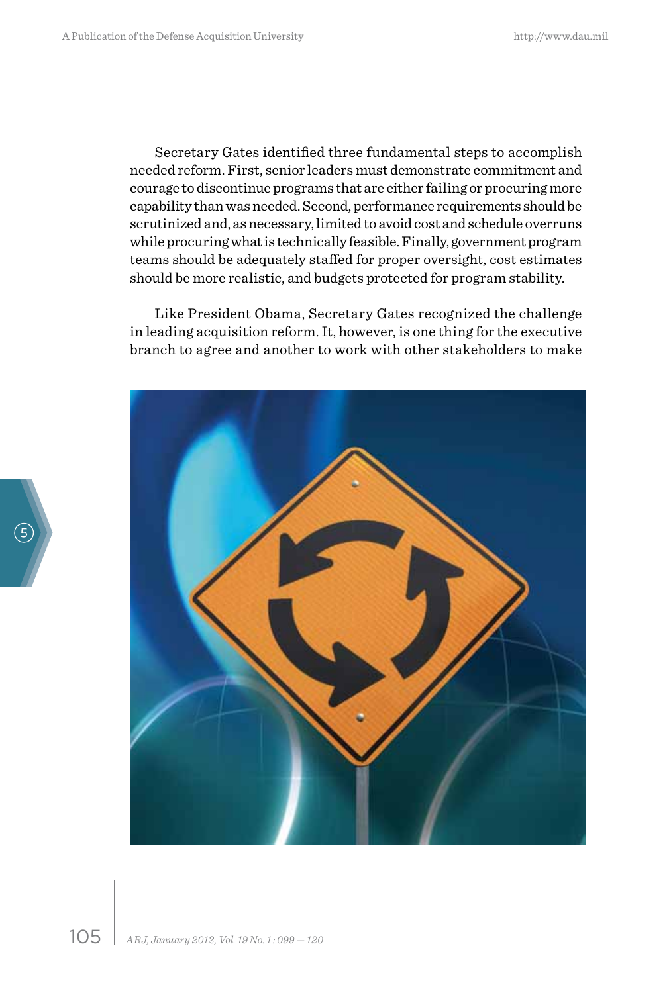Secretary Gates identified three fundamental steps to accomplish needed reform. First, senior leaders must demonstrate commitment and courage to discontinue programs that are either failing or procuring more capability than was needed. Second, performance requirements should be scrutinized and, as necessary, limited to avoid cost and schedule overruns while procuring what is technically feasible. Finally, government program teams should be adequately staffed for proper oversight, cost estimates should be more realistic, and budgets protected for program stability.

Like President Obama, Secretary Gates recognized the challenge in leading acquisition reform. It, however, is one thing for the executive branch to agree and another to work with other stakeholders to make

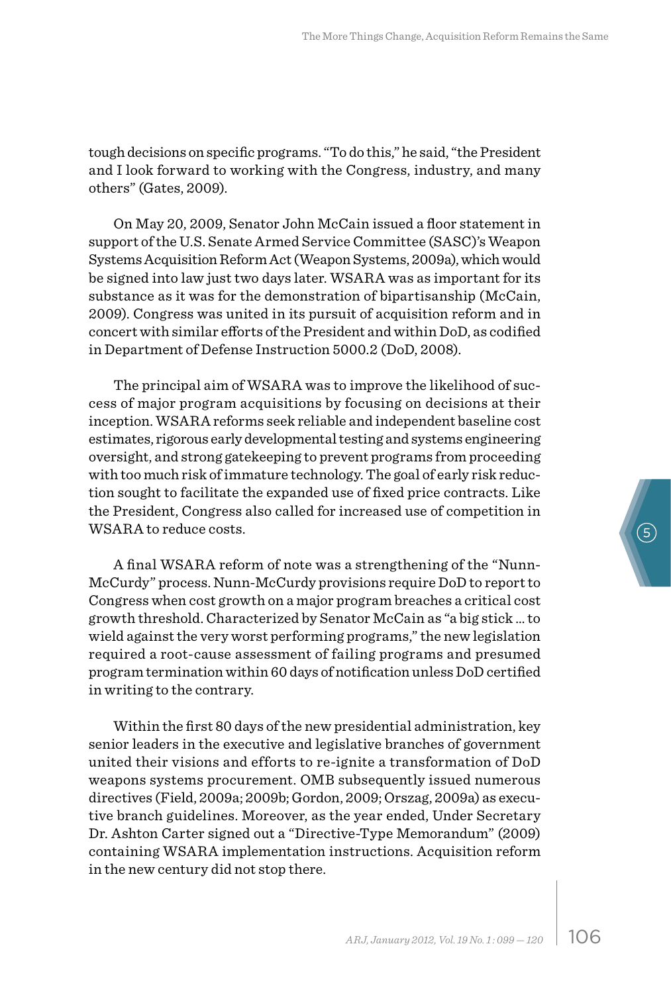tough decisions on specific programs. "To do this," he said, "the President and I look forward to working with the Congress, industry, and many others" (Gates, 2009).

On May 20, 2009, Senator John McCain issued a floor statement in support of the U.S. Senate Armed Service Committee (SASC)'s Weapon Systems Acquisition Reform Act (Weapon Systems, 2009a), which would be signed into law just two days later. WSARA was as important for its substance as it was for the demonstration of bipartisanship (McCain, 2009). Congress was united in its pursuit of acquisition reform and in concert with similar efforts of the President and within DoD, as codified in Department of Defense Instruction 5000.2 (DoD, 2008).

The principal aim of WSARA was to improve the likelihood of success of major program acquisitions by focusing on decisions at their inception. WSARA reforms seek reliable and independent baseline cost estimates, rigorous early developmental testing and systems engineering oversight, and strong gatekeeping to prevent programs from proceeding with too much risk of immature technology. The goal of early risk reduction sought to facilitate the expanded use of fixed price contracts. Like the President, Congress also called for increased use of competition in WSARA to reduce costs.

A final WSARA reform of note was a strengthening of the "Nunn-McCurdy" process. Nunn-McCurdy provisions require DoD to report to Congress when cost growth on a major program breaches a critical cost growth threshold. Characterized by Senator McCain as "a big stick … to wield against the very worst performing programs," the new legislation required a root-cause assessment of failing programs and presumed program termination within 60 days of notification unless DoD certified in writing to the contrary.

Within the first 80 days of the new presidential administration, key senior leaders in the executive and legislative branches of government united their visions and efforts to re-ignite a transformation of DoD weapons systems procurement. OMB subsequently issued numerous directives (Field, 2009a; 2009b; Gordon, 2009; Orszag, 2009a) as executive branch guidelines. Moreover, as the year ended, Under Secretary Dr. Ashton Carter signed out a "Directive-Type Memorandum" (2009) containing WSARA implementation instructions. Acquisition reform in the new century did not stop there.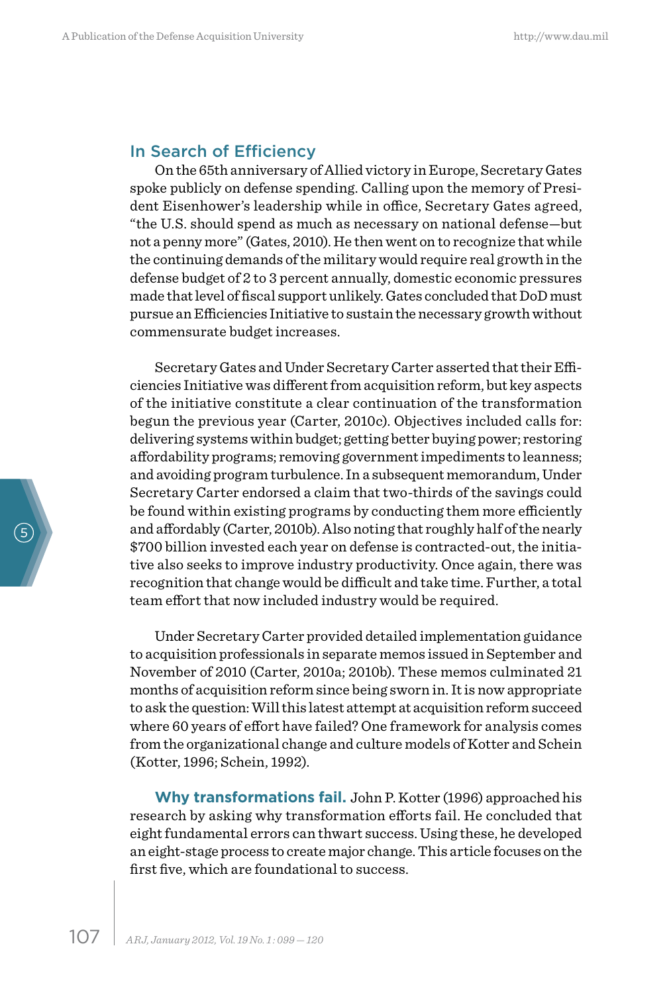#### In Search of Efficiency

On the 65th anniversary of Allied victory in Europe, Secretary Gates spoke publicly on defense spending. Calling upon the memory of President Eisenhower's leadership while in office, Secretary Gates agreed, "the U.S. should spend as much as necessary on national defense—but not a penny more" (Gates, 2010). He then went on to recognize that while the continuing demands of the military would require real growth in the defense budget of 2 to 3 percent annually, domestic economic pressures made that level of fiscal support unlikely. Gates concluded that DoD must pursue an Efficiencies Initiative to sustain the necessary growth without commensurate budget increases.

Secretary Gates and Under Secretary Carter asserted that their Efficiencies Initiative was different from acquisition reform, but key aspects of the initiative constitute a clear continuation of the transformation begun the previous year (Carter, 2010c). Objectives included calls for: delivering systems within budget; getting better buying power; restoring affordability programs; removing government impediments to leanness; and avoiding program turbulence. In a subsequent memorandum, Under Secretary Carter endorsed a claim that two-thirds of the savings could be found within existing programs by conducting them more efficiently and affordably (Carter, 2010b). Also noting that roughly half of the nearly \$700 billion invested each year on defense is contracted-out, the initiative also seeks to improve industry productivity. Once again, there was recognition that change would be difficult and take time. Further, a total team effort that now included industry would be required.

Under Secretary Carter provided detailed implementation guidance to acquisition professionals in separate memos issued in September and November of 2010 (Carter, 2010a; 2010b). These memos culminated 21 months of acquisition reform since being sworn in. It is now appropriate to ask the question: Will this latest attempt at acquisition reform succeed where 60 years of effort have failed? One framework for analysis comes from the organizational change and culture models of Kotter and Schein (Kotter, 1996; Schein, 1992).

**Why transformations fail.** John P. Kotter (1996) approached his research by asking why transformation efforts fail. He concluded that eight fundamental errors can thwart success. Using these, he developed an eight-stage process to create major change. This article focuses on the first five, which are foundational to success.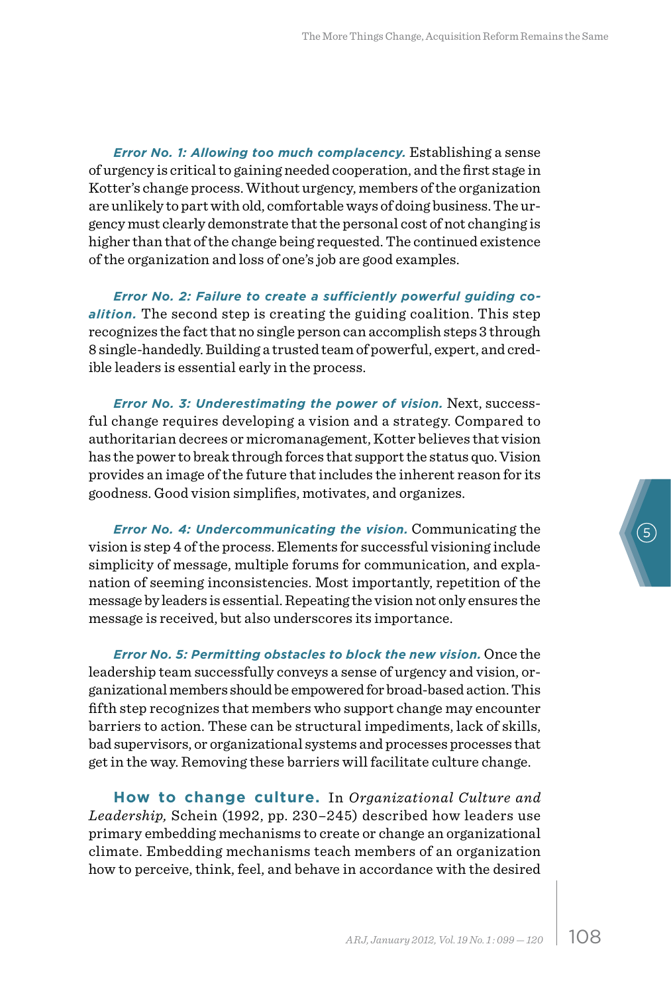*Error No. 1: Allowing too much complacency.* Establishing a sense of urgency is critical to gaining needed cooperation, and the first stage in Kotter's change process. Without urgency, members of the organization are unlikely to part with old, comfortable ways of doing business. The urgency must clearly demonstrate that the personal cost of not changing is higher than that of the change being requested. The continued existence of the organization and loss of one's job are good examples.

*Error No. 2: Failure to create a sufficiently powerful guiding coalition.* The second step is creating the guiding coalition. This step recognizes the fact that no single person can accomplish steps 3 through 8 single-handedly. Building a trusted team of powerful, expert, and credible leaders is essential early in the process.

*Error No. 3: Underestimating the power of vision.* Next, successful change requires developing a vision and a strategy. Compared to authoritarian decrees or micromanagement, Kotter believes that vision has the power to break through forces that support the status quo. Vision provides an image of the future that includes the inherent reason for its goodness. Good vision simplifies, motivates, and organizes.

*Error No. 4: Undercommunicating the vision.* Communicating the vision is step 4 of the process. Elements for successful visioning include simplicity of message, multiple forums for communication, and explanation of seeming inconsistencies. Most importantly, repetition of the message by leaders is essential. Repeating the vision not only ensures the message is received, but also underscores its importance.

*Error No. 5: Permitting obstacles to block the new vision.* Once the leadership team successfully conveys a sense of urgency and vision, organizational members should be empowered for broad-based action. This fifth step recognizes that members who support change may encounter barriers to action. These can be structural impediments, lack of skills, bad supervisors, or organizational systems and processes processes that get in the way. Removing these barriers will facilitate culture change.

**How to change culture.** In *Organizational Culture and Leadership,* Schein (1992, pp. 230–245) described how leaders use primary embedding mechanisms to create or change an organizational climate. Embedding mechanisms teach members of an organization how to perceive, think, feel, and behave in accordance with the desired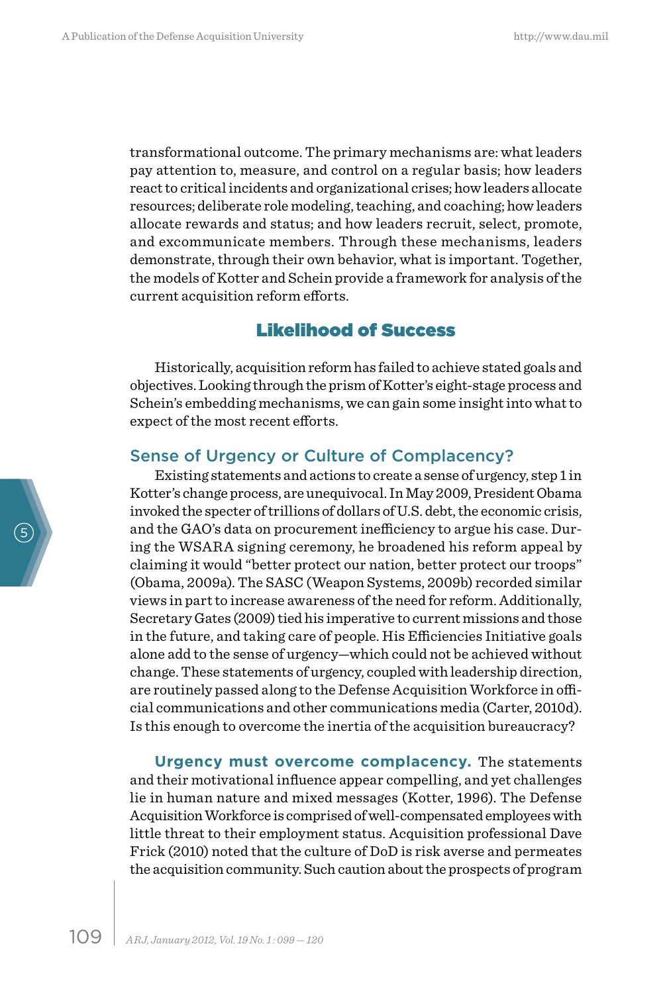transformational outcome. The primary mechanisms are: what leaders pay attention to, measure, and control on a regular basis; how leaders react to critical incidents and organizational crises; how leaders allocate resources; deliberate role modeling, teaching, and coaching; how leaders allocate rewards and status; and how leaders recruit, select, promote, and excommunicate members. Through these mechanisms, leaders demonstrate, through their own behavior, what is important. Together, the models of Kotter and Schein provide a framework for analysis of the current acquisition reform efforts.

### Likelihood of Success

Historically, acquisition reform has failed to achieve stated goals and objectives. Looking through the prism of Kotter's eight-stage process and Schein's embedding mechanisms, we can gain some insight into what to expect of the most recent efforts.

#### Sense of Urgency or Culture of Complacency?

Existing statements and actions to create a sense of urgency, step 1 in Kotter's change process, are unequivocal. In May 2009, President Obama invoked the specter of trillions of dollars of U.S. debt, the economic crisis, and the GAO's data on procurement inefficiency to argue his case. During the WSARA signing ceremony, he broadened his reform appeal by claiming it would "better protect our nation, better protect our troops" (Obama, 2009a). The SASC (Weapon Systems, 2009b) recorded similar views in part to increase awareness of the need for reform. Additionally, Secretary Gates (2009) tied his imperative to current missions and those in the future, and taking care of people. His Efficiencies Initiative goals alone add to the sense of urgency—which could not be achieved without change. These statements of urgency, coupled with leadership direction, are routinely passed along to the Defense Acquisition Workforce in official communications and other communications media (Carter, 2010d). Is this enough to overcome the inertia of the acquisition bureaucracy?

**Urgency must overcome complacency.** The statements and their motivational influence appear compelling, and yet challenges lie in human nature and mixed messages (Kotter, 1996). The Defense Acquisition Workforce is comprised of well-compensated employees with little threat to their employment status. Acquisition professional Dave Frick (2010) noted that the culture of DoD is risk averse and permeates the acquisition community. Such caution about the prospects of program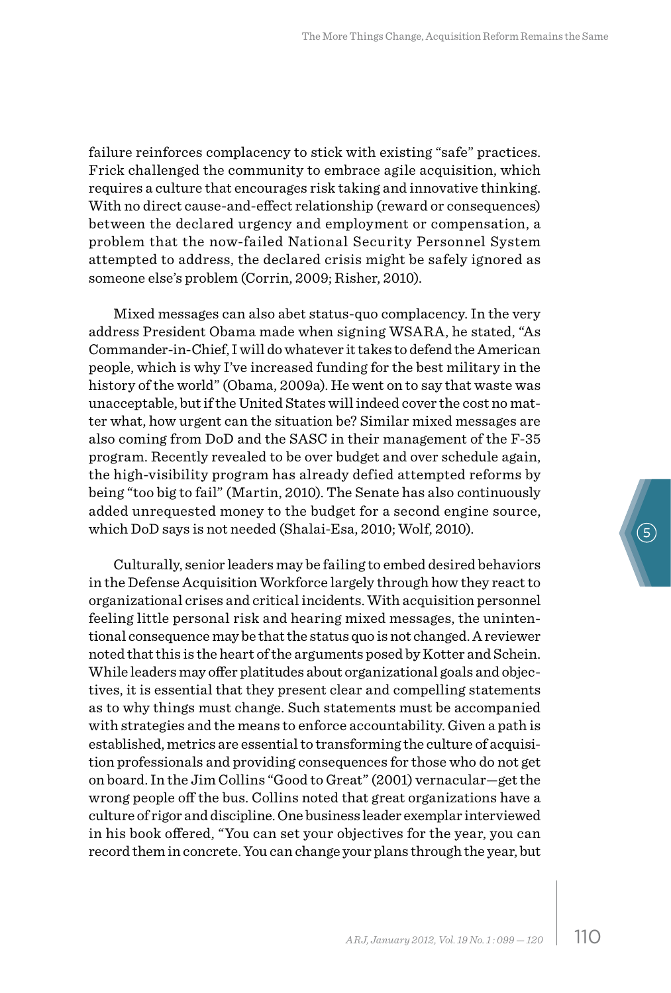failure reinforces complacency to stick with existing "safe" practices. Frick challenged the community to embrace agile acquisition, which requires a culture that encourages risk taking and innovative thinking. With no direct cause-and-effect relationship (reward or consequences) between the declared urgency and employment or compensation, a problem that the now-failed National Security Personnel System attempted to address, the declared crisis might be safely ignored as someone else's problem (Corrin, 2009; Risher, 2010).

Mixed messages can also abet status-quo complacency. In the very address President Obama made when signing WSARA, he stated, "As Commander-in-Chief, I will do whatever it takes to defend the American people, which is why I've increased funding for the best military in the history of the world" (Obama, 2009a). He went on to say that waste was unacceptable, but if the United States will indeed cover the cost no matter what, how urgent can the situation be? Similar mixed messages are also coming from DoD and the SASC in their management of the F-35 program. Recently revealed to be over budget and over schedule again, the high-visibility program has already defied attempted reforms by being "too big to fail" (Martin, 2010). The Senate has also continuously added unrequested money to the budget for a second engine source, which DoD says is not needed (Shalai-Esa, 2010; Wolf, 2010).

Culturally, senior leaders may be failing to embed desired behaviors in the Defense Acquisition Workforce largely through how they react to organizational crises and critical incidents. With acquisition personnel feeling little personal risk and hearing mixed messages, the unintentional consequence may be that the status quo is not changed. A reviewer noted that this is the heart of the arguments posed by Kotter and Schein. While leaders may offer platitudes about organizational goals and objectives, it is essential that they present clear and compelling statements as to why things must change. Such statements must be accompanied with strategies and the means to enforce accountability. Given a path is established, metrics are essential to transforming the culture of acquisition professionals and providing consequences for those who do not get on board. In the Jim Collins "Good to Great" (2001) vernacular—get the wrong people off the bus. Collins noted that great organizations have a culture of rigor and discipline. One business leader exemplar interviewed in his book offered, "You can set your objectives for the year, you can record them in concrete. You can change your plans through the year, but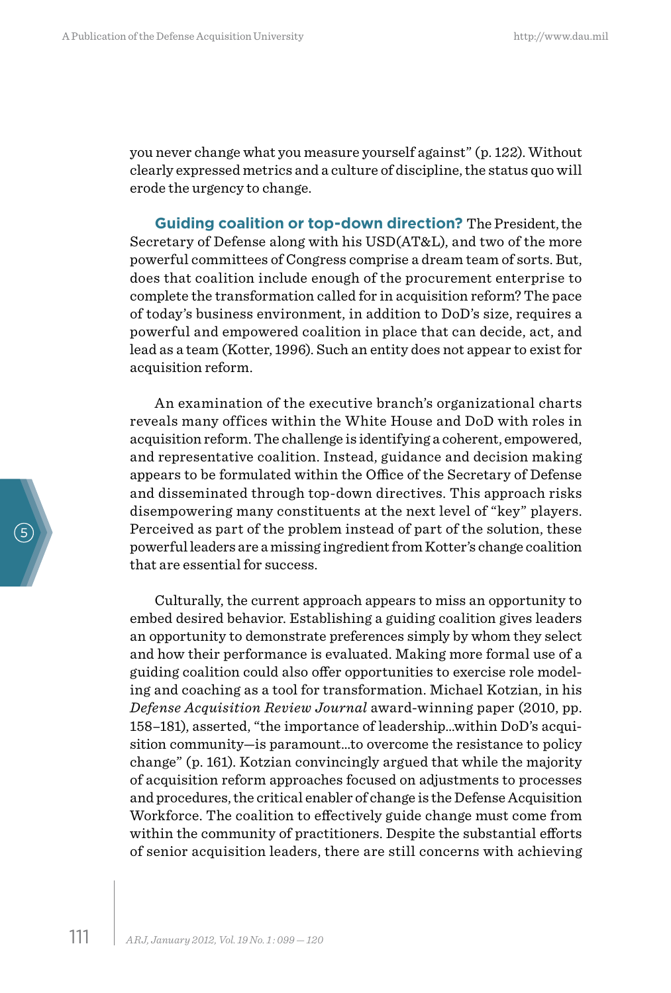you never change what you measure yourself against" (p. 122). Without clearly expressed metrics and a culture of discipline, the status quo will erode the urgency to change.

**Guiding coalition or top-down direction?** The President, the Secretary of Defense along with his USD(AT&L), and two of the more powerful committees of Congress comprise a dream team of sorts. But, does that coalition include enough of the procurement enterprise to complete the transformation called for in acquisition reform? The pace of today's business environment, in addition to DoD's size, requires a powerful and empowered coalition in place that can decide, act, and lead as a team (Kotter, 1996). Such an entity does not appear to exist for acquisition reform.

An examination of the executive branch's organizational charts reveals many offices within the White House and DoD with roles in acquisition reform. The challenge is identifying a coherent, empowered, and representative coalition. Instead, guidance and decision making appears to be formulated within the Office of the Secretary of Defense and disseminated through top-down directives. This approach risks disempowering many constituents at the next level of "key" players. Perceived as part of the problem instead of part of the solution, these powerful leaders are a missing ingredient from Kotter's change coalition that are essential for success.

Culturally, the current approach appears to miss an opportunity to embed desired behavior. Establishing a guiding coalition gives leaders an opportunity to demonstrate preferences simply by whom they select and how their performance is evaluated. Making more formal use of a guiding coalition could also offer opportunities to exercise role modeling and coaching as a tool for transformation. Michael Kotzian, in his *Defense Acquisition Review Journal* award-winning paper (2010, pp. 158–181), asserted, "the importance of leadership…within DoD's acquisition community—is paramount…to overcome the resistance to policy change" (p. 161). Kotzian convincingly argued that while the majority of acquisition reform approaches focused on adjustments to processes and procedures, the critical enabler of change is the Defense Acquisition Workforce. The coalition to effectively guide change must come from within the community of practitioners. Despite the substantial efforts of senior acquisition leaders, there are still concerns with achieving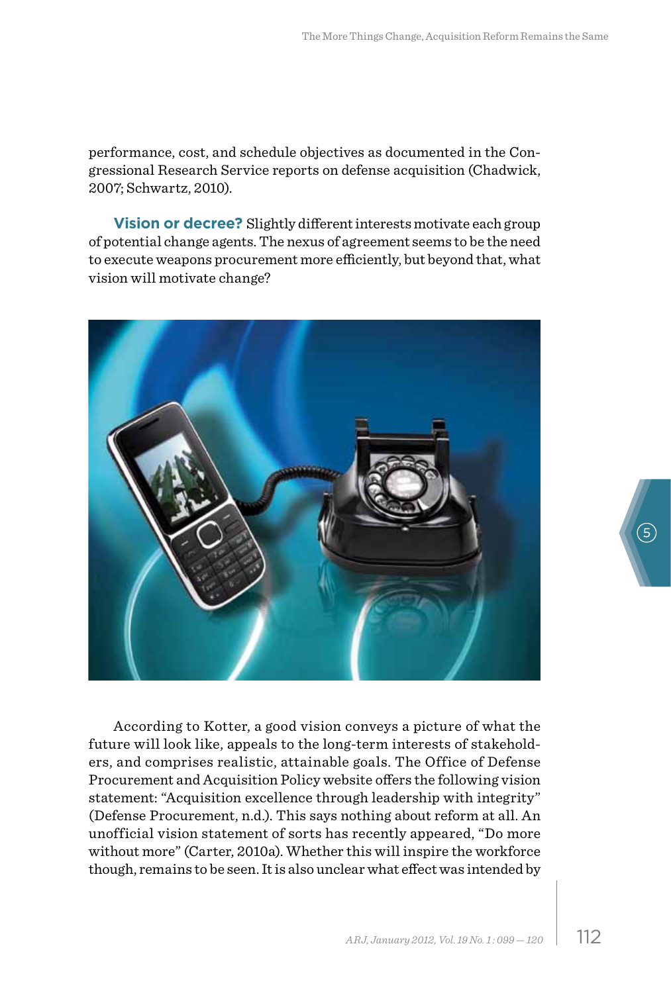performance, cost, and schedule objectives as documented in the Congressional Research Service reports on defense acquisition (Chadwick, 2007; Schwartz, 2010).

**Vision or decree?** Slightly different interests motivate each group of potential change agents. The nexus of agreement seems to be the need to execute weapons procurement more efficiently, but beyond that, what vision will motivate change?



According to Kotter, a good vision conveys a picture of what the future will look like, appeals to the long-term interests of stakeholders, and comprises realistic, attainable goals. The Office of Defense Procurement and Acquisition Policy website offers the following vision statement: "Acquisition excellence through leadership with integrity" (Defense Procurement, n.d.). This says nothing about reform at all. An unofficial vision statement of sorts has recently appeared, "Do more without more" (Carter, 2010a). Whether this will inspire the workforce though, remains to be seen. It is also unclear what effect was intended by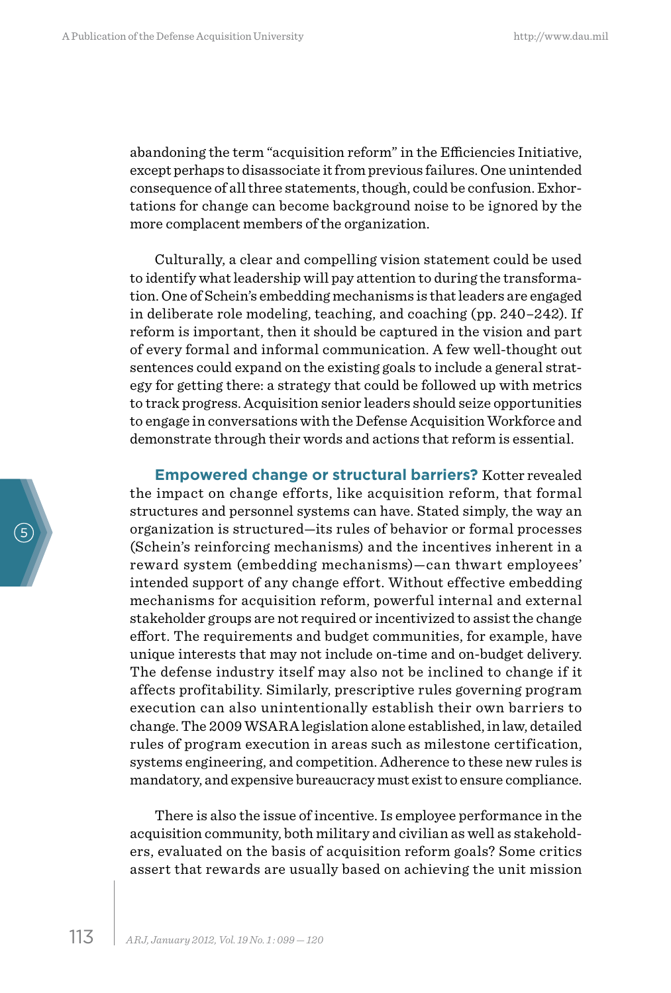abandoning the term "acquisition reform" in the Efficiencies Initiative, except perhaps to disassociate it from previous failures. One unintended consequence of all three statements, though, could be confusion. Exhortations for change can become background noise to be ignored by the more complacent members of the organization.

Culturally, a clear and compelling vision statement could be used to identify what leadership will pay attention to during the transformation. One of Schein's embedding mechanisms is that leaders are engaged in deliberate role modeling, teaching, and coaching (pp. 240–242). If reform is important, then it should be captured in the vision and part of every formal and informal communication. A few well-thought out sentences could expand on the existing goals to include a general strategy for getting there: a strategy that could be followed up with metrics to track progress. Acquisition senior leaders should seize opportunities to engage in conversations with the Defense Acquisition Workforce and demonstrate through their words and actions that reform is essential.

**Empowered change or structural barriers?** Kotter revealed the impact on change efforts, like acquisition reform, that formal structures and personnel systems can have. Stated simply, the way an organization is structured—its rules of behavior or formal processes (Schein's reinforcing mechanisms) and the incentives inherent in a reward system (embedding mechanisms)—can thwart employees' intended support of any change effort. Without effective embedding mechanisms for acquisition reform, powerful internal and external stakeholder groups are not required or incentivized to assist the change effort. The requirements and budget communities, for example, have unique interests that may not include on-time and on-budget delivery. The defense industry itself may also not be inclined to change if it affects profitability. Similarly, prescriptive rules governing program execution can also unintentionally establish their own barriers to change. The 2009 WSARA legislation alone established, in law, detailed rules of program execution in areas such as milestone certification, systems engineering, and competition. Adherence to these new rules is mandatory, and expensive bureaucracy must exist to ensure compliance.

There is also the issue of incentive. Is employee performance in the acquisition community, both military and civilian as well as stakeholders, evaluated on the basis of acquisition reform goals? Some critics assert that rewards are usually based on achieving the unit mission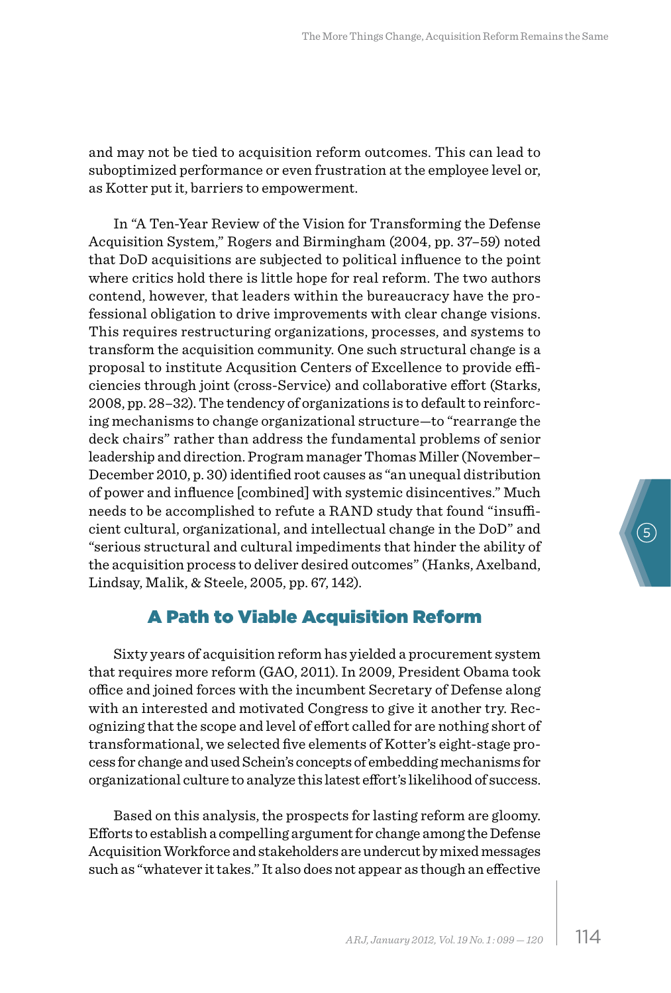and may not be tied to acquisition reform outcomes. This can lead to suboptimized performance or even frustration at the employee level or, as Kotter put it, barriers to empowerment.

In "A Ten-Year Review of the Vision for Transforming the Defense Acquisition System," Rogers and Birmingham (2004, pp. 37–59) noted that DoD acquisitions are subjected to political influence to the point where critics hold there is little hope for real reform. The two authors contend, however, that leaders within the bureaucracy have the professional obligation to drive improvements with clear change visions. This requires restructuring organizations, processes, and systems to transform the acquisition community. One such structural change is a proposal to institute Acqusition Centers of Excellence to provide efficiencies through joint (cross-Service) and collaborative effort (Starks, 2008, pp. 28–32). The tendency of organizations is to default to reinforcing mechanisms to change organizational structure—to "rearrange the deck chairs" rather than address the fundamental problems of senior leadership and direction. Program manager Thomas Miller (November– December 2010, p. 30) identified root causes as "an unequal distribution of power and influence [combined] with systemic disincentives." Much needs to be accomplished to refute a RAND study that found "insufficient cultural, organizational, and intellectual change in the DoD" and "serious structural and cultural impediments that hinder the ability of the acquisition process to deliver desired outcomes" (Hanks, Axelband, Lindsay, Malik, & Steele, 2005, pp. 67, 142).

# A Path to Viable Acquisition Reform

Sixty years of acquisition reform has yielded a procurement system that requires more reform (GAO, 2011). In 2009, President Obama took office and joined forces with the incumbent Secretary of Defense along with an interested and motivated Congress to give it another try. Recognizing that the scope and level of effort called for are nothing short of transformational, we selected five elements of Kotter's eight-stage process for change and used Schein's concepts of embedding mechanisms for organizational culture to analyze this latest effort's likelihood of success.

Based on this analysis, the prospects for lasting reform are gloomy. Efforts to establish a compelling argument for change among the Defense Acquisition Workforce and stakeholders are undercut by mixed messages such as "whatever it takes." It also does not appear as though an effective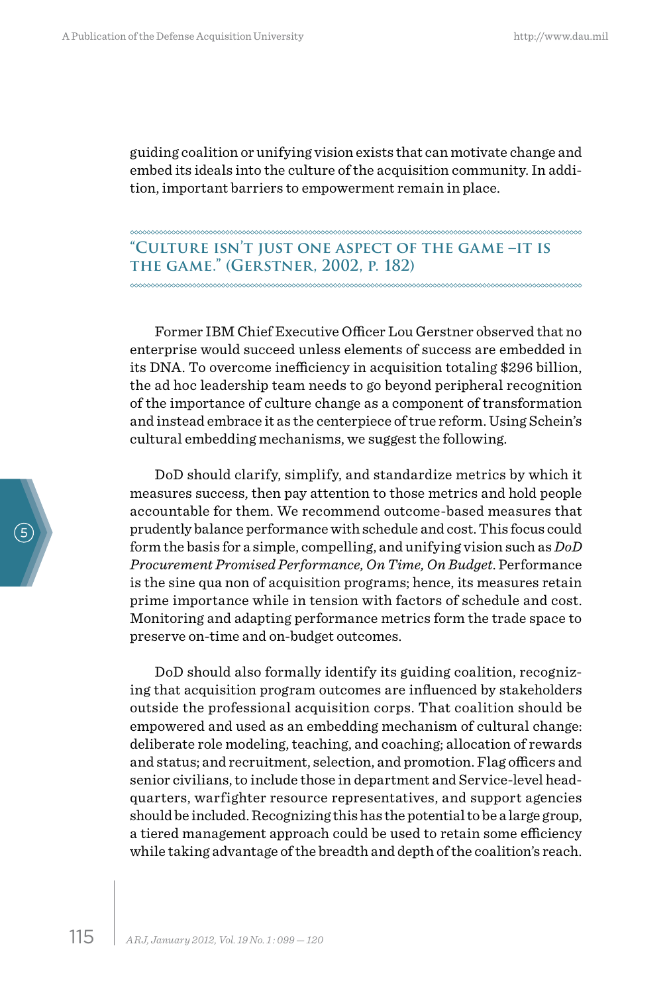guiding coalition or unifying vision exists that can motivate change and embed its ideals into the culture of the acquisition community. In addition, important barriers to empowerment remain in place.

**"Culture isn't just one aspect of the game –it is the game." (Gerstner, 2002, p. 182)**

Former IBM Chief Executive Officer Lou Gerstner observed that no enterprise would succeed unless elements of success are embedded in its DNA. To overcome inefficiency in acquisition totaling \$296 billion, the ad hoc leadership team needs to go beyond peripheral recognition of the importance of culture change as a component of transformation and instead embrace it as the centerpiece of true reform. Using Schein's cultural embedding mechanisms, we suggest the following.

DoD should clarify, simplify, and standardize metrics by which it measures success, then pay attention to those metrics and hold people accountable for them. We recommend outcome-based measures that prudently balance performance with schedule and cost. This focus could form the basis for a simple, compelling, and unifying vision such as *DoD Procurement Promised Performance, On Time, On Budget*. Performance is the sine qua non of acquisition programs; hence, its measures retain prime importance while in tension with factors of schedule and cost. Monitoring and adapting performance metrics form the trade space to preserve on-time and on-budget outcomes.

DoD should also formally identify its guiding coalition, recognizing that acquisition program outcomes are influenced by stakeholders outside the professional acquisition corps. That coalition should be empowered and used as an embedding mechanism of cultural change: deliberate role modeling, teaching, and coaching; allocation of rewards and status; and recruitment, selection, and promotion. Flag officers and senior civilians, to include those in department and Service-level headquarters, warfighter resource representatives, and support agencies should be included. Recognizing this has the potential to be a large group, a tiered management approach could be used to retain some efficiency while taking advantage of the breadth and depth of the coalition's reach.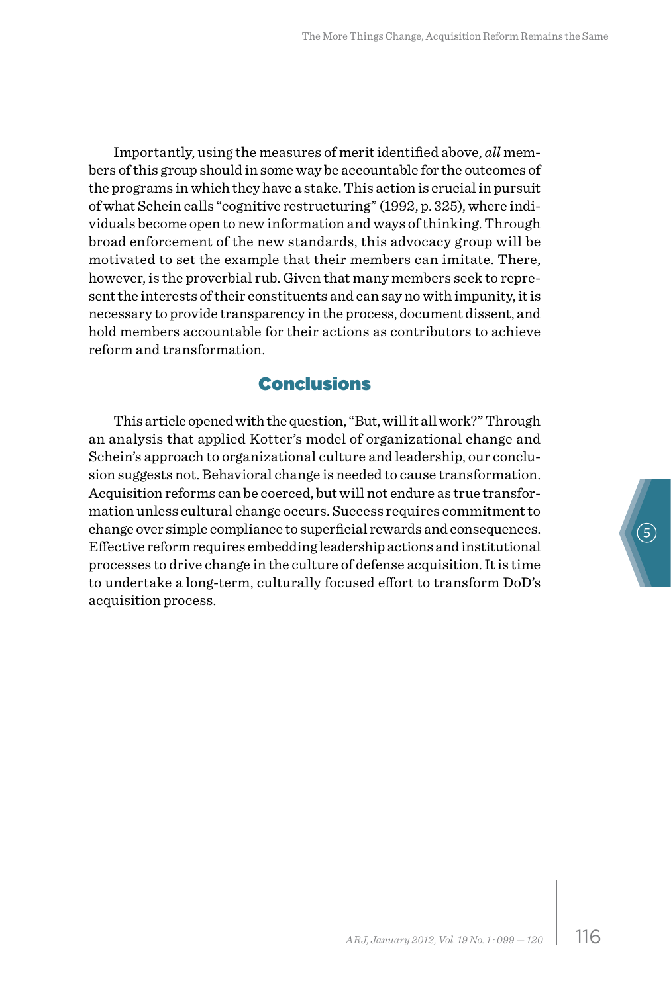Importantly, using the measures of merit identified above, *all* members of this group should in some way be accountable for the outcomes of the programs in which they have a stake. This action is crucial in pursuit of what Schein calls "cognitive restructuring" (1992, p. 325), where individuals become open to new information and ways of thinking. Through broad enforcement of the new standards, this advocacy group will be motivated to set the example that their members can imitate. There, however, is the proverbial rub. Given that many members seek to represent the interests of their constituents and can say no with impunity, it is necessary to provide transparency in the process, document dissent, and hold members accountable for their actions as contributors to achieve reform and transformation.

## Conclusions

This article opened with the question, "But, will it all work?" Through an analysis that applied Kotter's model of organizational change and Schein's approach to organizational culture and leadership, our conclusion suggests not. Behavioral change is needed to cause transformation. Acquisition reforms can be coerced, but will not endure as true transformation unless cultural change occurs. Success requires commitment to change over simple compliance to superficial rewards and consequences. Effective reform requires embedding leadership actions and institutional processes to drive change in the culture of defense acquisition. It is time to undertake a long-term, culturally focused effort to transform DoD's acquisition process.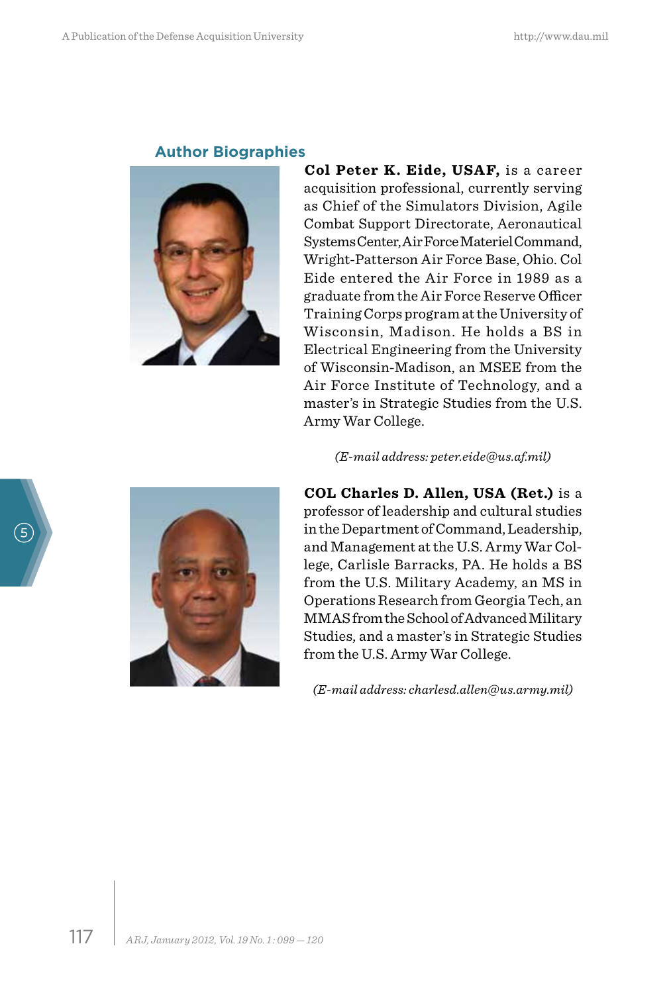#### **Author Biographies**



**Col Peter K. Eide, USAF, is a career** acquisition professional, currently serving as Chief of the Simulators Division, Agile Combat Support Directorate, Aeronautical Systems Center, Air Force Materiel Command, Wright-Patterson Air Force Base, Ohio. Col Eide entered the Air Force in 1989 as a graduate from the Air Force Reserve Officer Training Corps program at the University of Wisconsin, Madison. He holds a BS in Electrical Engineering from the University of Wisconsin-Madison, an MSEE from the Air Force Institute of Technology, and a master's in Strategic Studies from the U.S. Army War College.

*(E-mail address: peter.eide@us.af.mil)*

**COL Charles D. Allen, USA (Ret.)** is a professor of leadership and cultural studies in the Department of Command, Leadership, and Management at the U.S. Army War College, Carlisle Barracks, PA. He holds a BS from the U.S. Military Academy, an MS in Operations Research from Georgia Tech, an MMAS from the School of Advanced Military Studies, and a master's in Strategic Studies from the U.S. Army War College.

*(E-mail address: charlesd.allen@us.army.mil)*



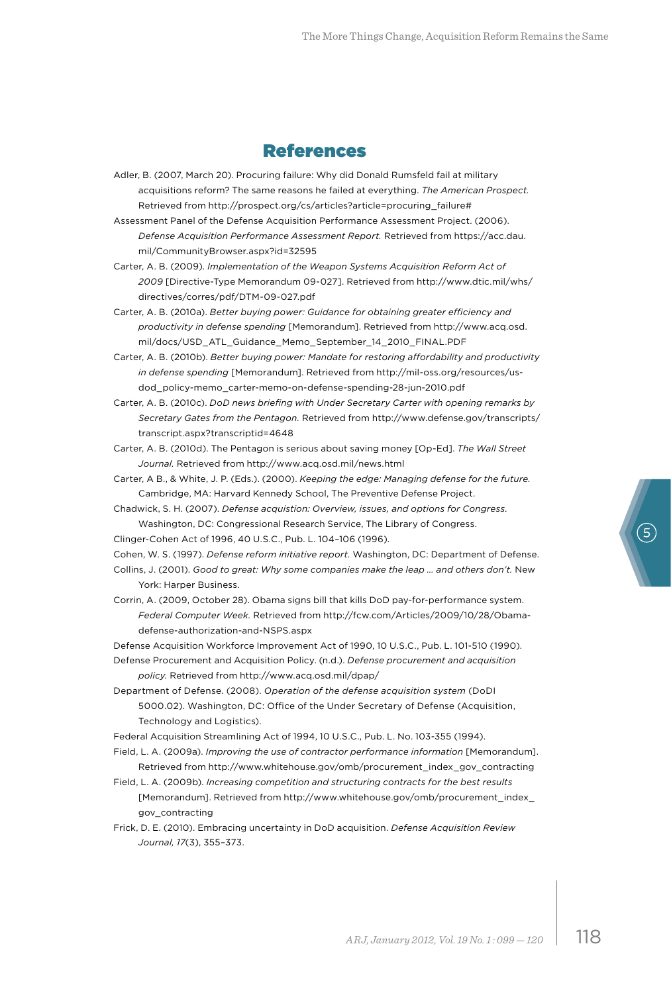#### References

- Adler, B. (2007, March 20). Procuring failure: Why did Donald Rumsfeld fail at military acquisitions reform? The same reasons he failed at everything. *The American Prospect.* Retrieved from http://prospect.org/cs/articles?article=procuring\_failure#
- Assessment Panel of the Defense Acquisition Performance Assessment Project. (2006). *Defense Acquisition Performance Assessment Report.* Retrieved from https://acc.dau. mil/CommunityBrowser.aspx?id=32595

Carter, A. B. (2009). *Implementation of the Weapon Systems Acquisition Reform Act of 2009* [Directive-Type Memorandum 09-027]. Retrieved from http://www.dtic.mil/whs/ directives/corres/pdf/DTM-09-027.pdf

- Carter, A. B. (2010a). *Better buying power: Guidance for obtaining greater efficiency and productivity in defense spending* [Memorandum]. Retrieved from http://www.acq.osd. mil/docs/USD\_ATL\_Guidance\_Memo\_September\_14\_2010\_FINAL.PDF
- Carter, A. B. (2010b). *Better buying power: Mandate for restoring affordability and productivity in defense spending* [Memorandum]. Retrieved from http://mil-oss.org/resources/usdod\_policy-memo\_carter-memo-on-defense-spending-28-jun-2010.pdf
- Carter, A. B. (2010c). *DoD news briefing with Under Secretary Carter with opening remarks by Secretary Gates from the Pentagon.* Retrieved from http://www.defense.gov/transcripts/ transcript.aspx?transcriptid=4648
- Carter, A. B. (2010d). The Pentagon is serious about saving money [Op-Ed]. *The Wall Street Journal.* Retrieved from http://www.acq.osd.mil/news.html
- Carter, A B., & White, J. P. (Eds.). (2000). *Keeping the edge: Managing defense for the future.* Cambridge, MA: Harvard Kennedy School, The Preventive Defense Project.
- Chadwick, S. H. (2007). *Defense acquistion: Overview, issues, and options for Congress.* Washington, DC: Congressional Research Service, The Library of Congress.
- Clinger-Cohen Act of 1996, 40 U.S.C., Pub. L. 104–106 (1996).
- Cohen, W. S. (1997). *Defense reform initiative report.* Washington, DC: Department of Defense.
- Collins, J. (2001). *Good to great: Why some companies make the leap … and others don't.* New York: Harper Business.
- Corrin, A. (2009, October 28). Obama signs bill that kills DoD pay-for-performance system. *Federal Computer Week.* Retrieved from http://fcw.com/Articles/2009/10/28/Obamadefense-authorization-and-NSPS.aspx

Defense Acquisition Workforce Improvement Act of 1990, 10 U.S.C., Pub. L. 101-510 (1990).

- Defense Procurement and Acquisition Policy. (n.d.). *Defense procurement and acquisition policy.* Retrieved from http://www.acq.osd.mil/dpap/
- Department of Defense. (2008). *Operation of the defense acquisition system* (DoDI 5000.02). Washington, DC: Office of the Under Secretary of Defense (Acquisition, Technology and Logistics).

Federal Acquisition Streamlining Act of 1994, 10 U.S.C., Pub. L. No. 103-355 (1994).

- Field, L. A. (2009a). *Improving the use of contractor performance information* [Memorandum]. Retrieved from http://www.whitehouse.gov/omb/procurement\_index\_gov\_contracting
- Field, L. A. (2009b). *Increasing competition and structuring contracts for the best results* [Memorandum]. Retrieved from http://www.whitehouse.gov/omb/procurement\_index\_ gov\_contracting
- Frick, D. E. (2010). Embracing uncertainty in DoD acquisition. *Defense Acquisition Review Journal, 17*(3), 355–373.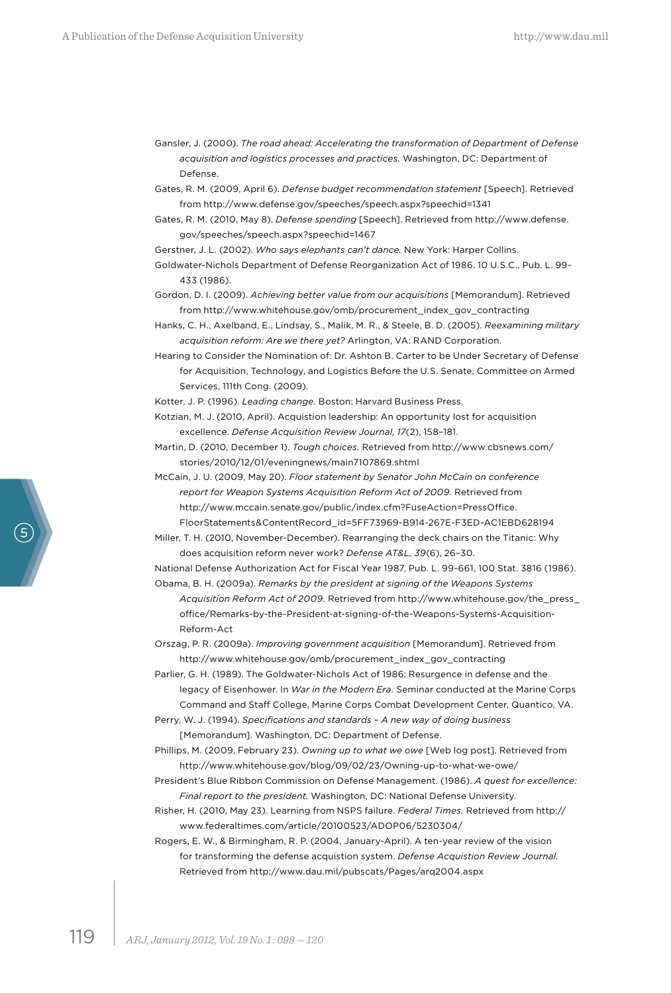- Gansler, J. (2000). *The road ahead: Accelerating the transformation of Department of Defense acquisition and logistics processes and practices.* Washington, DC: Department of Defense.
- Gates, R. M. (2009, April 6). *Defense budget recommendation statement* [Speech]. Retrieved from http://www.defense.gov/speeches/speech.aspx?speechid=1341
- Gates, R. M. (2010, May 8). *Defense spending* [Speech]. Retrieved from http://www.defense. gov/speeches/speech.aspx?speechid=1467
- Gerstner, J. L. (2002). *Who says elephants can't dance.* New York: Harper Collins.
- Goldwater-Nichols Department of Defense Reorganization Act of 1986. 10 U.S.C., Pub. L. 99- 433 (1986).

Gordon, D. I. (2009). *Achieving better value from our acquisitions* [Memorandum]. Retrieved from http://www.whitehouse.gov/omb/procurement\_index\_gov\_contracting

- Hanks, C. H., Axelband, E., Lindsay, S., Malik, M. R., & Steele, B. D. (2005). *Reexamining military acquisition reform: Are we there yet?* Arlington, VA: RAND Corporation.
- Hearing to Consider the Nomination of: Dr. Ashton B. Carter to be Under Secretary of Defense for Acquisition, Technology, and Logistics Before the U.S. Senate, Committee on Armed Services, 111th Cong. (2009).
- Kotter, J. P. (1996). *Leading change.* Boston: Harvard Business Press.
- Kotzian, M. J. (2010, April). Acquistion leadership: An opportunity lost for acquisition excellence. *Defense Acquisition Review Journal, 17*(2), 158–181.
- Martin, D. (2010, December 1). *Tough choices.* Retrieved from http://www.cbsnews.com/ stories/2010/12/01/eveningnews/main7107869.shtml
- McCain, J. U. (2009, May 20). *Floor statement by Senator John McCain on conference report for Weapon Systems Acquisition Reform Act of 2009.* Retrieved from http://www.mccain.senate.gov/public/index.cfm?FuseAction=PressOffice. FloorStatements&ContentRecord\_id=5FF73969-B914-267E-F3ED-AC1EBD628194
- Miller, T. H. (2010, November-December). Rearranging the deck chairs on the Titanic: Why does acquisition reform never work? *Defense AT&L, 39*(6), 26–30.

National Defense Authorization Act for Fiscal Year 1987, Pub. L. 99-661, 100 Stat. 3816 (1986).

Obama, B. H. (2009a). *Remarks by the president at signing of the Weapons Systems Acquisition Reform Act of 2009.* Retrieved from http://www.whitehouse.gov/the\_press\_ office/Remarks-by-the-President-at-signing-of-the-Weapons-Systems-Acquisition-Reform-Act

Orszag, P. R. (2009a). *Improving government acquisition* [Memorandum]. Retrieved from http://www.whitehouse.gov/omb/procurement\_index\_gov\_contracting

- Parlier, G. H. (1989). The Goldwater-Nichols Act of 1986: Resurgence in defense and the legacy of Eisenhower. In *War in the Modern Era.* Seminar conducted at the Marine Corps Command and Staff College, Marine Corps Combat Development Center, Quantico, VA.
- Perry, W. J. (1994). *Specifications and standards A new way of doing business* [Memorandum]. Washington, DC: Department of Defense.

Phillips, M. (2009, February 23). *Owning up to what we owe* [Web log post]. Retrieved from http://www.whitehouse.gov/blog/09/02/23/Owning-up-to-what-we-owe/

- President's Blue Ribbon Commission on Defense Management. (1986). *A quest for excellence: Final report to the president.* Washington, DC: National Defense University.
- Risher, H. (2010, May 23). Learning from NSPS failure. *Federal Times.* Retrieved from http:// www.federaltimes.com/article/20100523/ADOP06/5230304/

Rogers, E. W., & Birmingham, R. P. (2004, January-April). A ten-year review of the vision for transforming the defense acquistion system. *Defense Acquistion Review Journal.* Retrieved from http://www.dau.mil/pubscats/Pages/arq2004.aspx